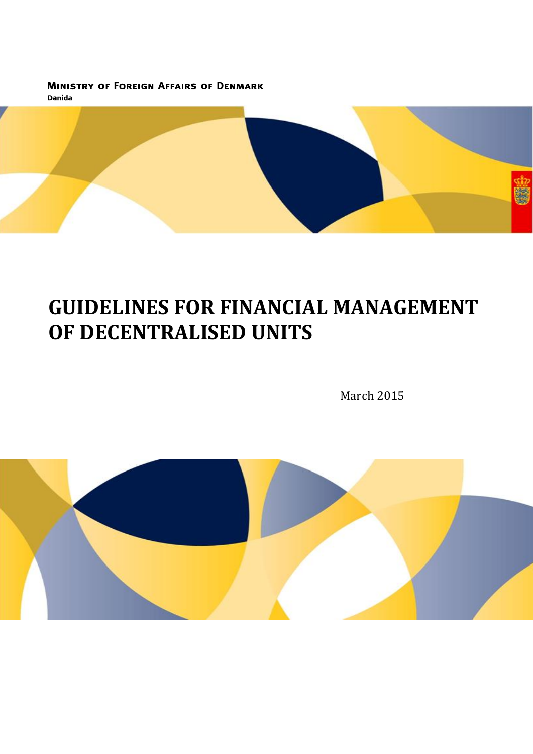**MINISTRY OF FOREIGN AFFAIRS OF DENMARK Danida** 



# **GUIDELINES FOR FINANCIAL MANAGEMENT OF DECENTRALISED UNITS**

March 2015

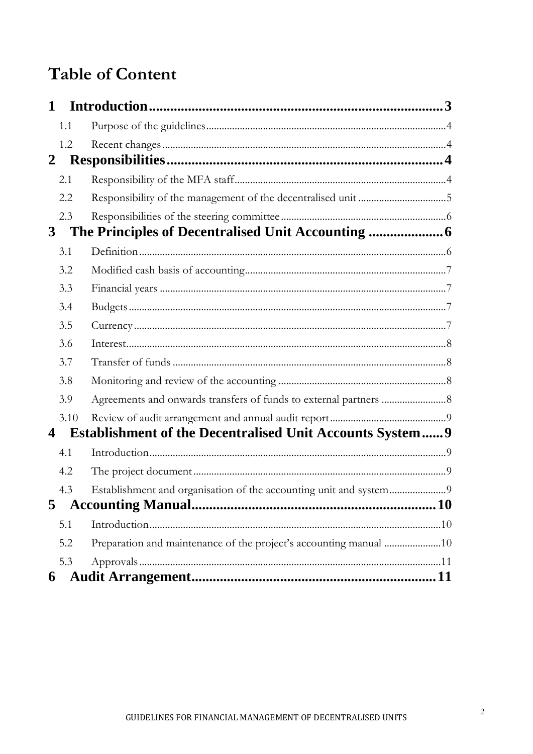## **Table of Content**

| 1            |                                                                   |  |
|--------------|-------------------------------------------------------------------|--|
| 1.1          |                                                                   |  |
| 1.2          |                                                                   |  |
| $\mathbf{2}$ |                                                                   |  |
| 2.1          |                                                                   |  |
| 2.2          |                                                                   |  |
| 2.3          |                                                                   |  |
| $\mathbf{3}$ |                                                                   |  |
| 3.1          |                                                                   |  |
| 3.2          |                                                                   |  |
| 3.3          |                                                                   |  |
| 3.4          |                                                                   |  |
| 3.5          |                                                                   |  |
| 3.6          |                                                                   |  |
| 3.7          |                                                                   |  |
| 3.8          |                                                                   |  |
| 3.9          |                                                                   |  |
| 3.10         |                                                                   |  |
| 4            | <b>Establishment of the Decentralised Unit Accounts System 9</b>  |  |
| 4.1          |                                                                   |  |
| 4.2          |                                                                   |  |
| 4.3          |                                                                   |  |
| 5            |                                                                   |  |
| 5.1          |                                                                   |  |
| 5.2          | Preparation and maintenance of the project's accounting manual 10 |  |
| 5.3          |                                                                   |  |
| 6            |                                                                   |  |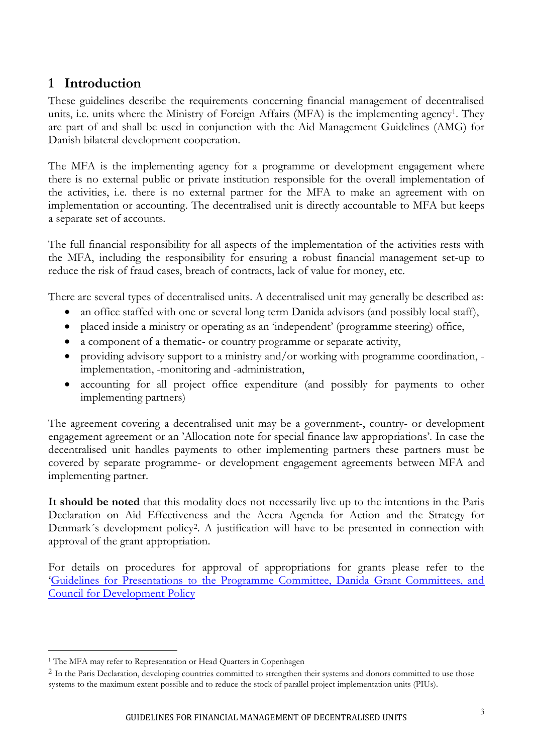## <span id="page-2-0"></span>**1 Introduction**

These guidelines describe the requirements concerning financial management of decentralised units, i.e. units where the Ministry of Foreign Affairs (MFA) is the implementing agency<sup>1</sup>. They are part of and shall be used in conjunction with the Aid Management Guidelines (AMG) for Danish bilateral development cooperation.

The MFA is the implementing agency for a programme or development engagement where there is no external public or private institution responsible for the overall implementation of the activities, i.e. there is no external partner for the MFA to make an agreement with on implementation or accounting. The decentralised unit is directly accountable to MFA but keeps a separate set of accounts.

The full financial responsibility for all aspects of the implementation of the activities rests with the MFA, including the responsibility for ensuring a robust financial management set-up to reduce the risk of fraud cases, breach of contracts, lack of value for money, etc.

There are several types of decentralised units. A decentralised unit may generally be described as:

- an office staffed with one or several long term Danida advisors (and possibly local staff),
- placed inside a ministry or operating as an 'independent' (programme steering) office,
- a component of a thematic- or country programme or separate activity,
- providing advisory support to a ministry and/or working with programme coordination, implementation, -monitoring and -administration,
- accounting for all project office expenditure (and possibly for payments to other implementing partners)

The agreement covering a decentralised unit may be a government-, country- or development engagement agreement or an 'Allocation note for special finance law appropriations'. In case the decentralised unit handles payments to other implementing partners these partners must be covered by separate programme- or development engagement agreements between MFA and implementing partner.

**It should be noted** that this modality does not necessarily live up to the intentions in the Paris Declaration on Aid Effectiveness and the Accra Agenda for Action and the Strategy for Denmark's development policy<sup>2</sup>. A justification will have to be presented in connection with approval of the grant appropriation.

For details on procedures for approval of appropriations for grants please refer to the '[Guidelines for Presentations to the Programme Committee, Danida Grant Committees, and](http://amg.um.dk/en/management-tools/guidelines-for-programme-committee---danida-grant-committee---council-for-development-policy/)  [Council for Development Policy](http://amg.um.dk/en/management-tools/guidelines-for-programme-committee---danida-grant-committee---council-for-development-policy/)

-

<sup>&</sup>lt;sup>1</sup> The MFA may refer to Representation or Head Quarters in Copenhagen

<sup>&</sup>lt;sup>2</sup> In the Paris Declaration, developing countries committed to strengthen their systems and donors committed to use those systems to the maximum extent possible and to reduce the stock of parallel project implementation units (PIUs).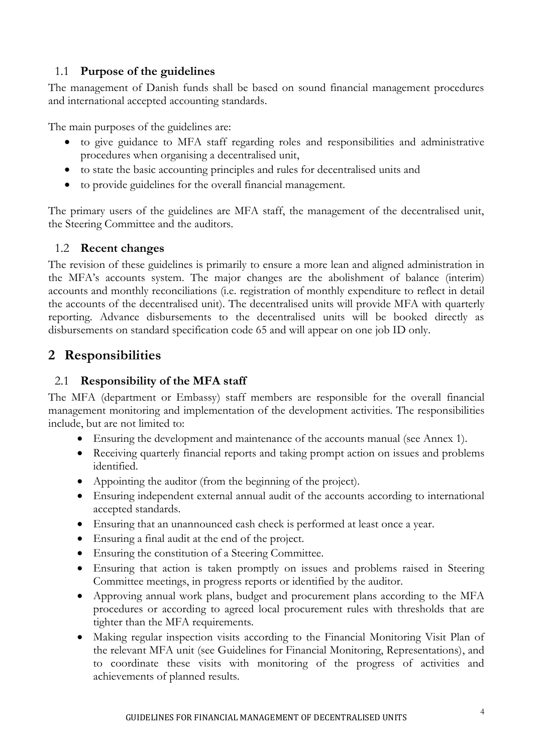#### <span id="page-3-0"></span>1.1 **Purpose of the guidelines**

The management of Danish funds shall be based on sound financial management procedures and international accepted accounting standards.

The main purposes of the guidelines are:

- to give guidance to MFA staff regarding roles and responsibilities and administrative procedures when organising a decentralised unit,
- to state the basic accounting principles and rules for decentralised units and
- to provide guidelines for the overall financial management.

The primary users of the guidelines are MFA staff, the management of the decentralised unit, the Steering Committee and the auditors.

#### <span id="page-3-1"></span>1.2 **Recent changes**

The revision of these guidelines is primarily to ensure a more lean and aligned administration in the MFA's accounts system. The major changes are the abolishment of balance (interim) accounts and monthly reconciliations (i.e. registration of monthly expenditure to reflect in detail the accounts of the decentralised unit). The decentralised units will provide MFA with quarterly reporting. Advance disbursements to the decentralised units will be booked directly as disbursements on standard specification code 65 and will appear on one job ID only.

## <span id="page-3-2"></span>**2 Responsibilities**

### <span id="page-3-3"></span>2.1 **Responsibility of the MFA staff**

The MFA (department or Embassy) staff members are responsible for the overall financial management monitoring and implementation of the development activities. The responsibilities include, but are not limited to:

- Ensuring the development and maintenance of the accounts manual (see Annex 1).
- Receiving quarterly financial reports and taking prompt action on issues and problems identified.
- Appointing the auditor (from the beginning of the project).
- Ensuring independent external annual audit of the accounts according to international accepted standards.
- Ensuring that an unannounced cash check is performed at least once a year.
- Ensuring a final audit at the end of the project.
- Ensuring the constitution of a Steering Committee.
- Ensuring that action is taken promptly on issues and problems raised in Steering Committee meetings, in progress reports or identified by the auditor.
- Approving annual work plans, budget and procurement plans according to the MFA procedures or according to agreed local procurement rules with thresholds that are tighter than the MFA requirements.
- Making regular inspection visits according to the Financial Monitoring Visit Plan of the relevant MFA unit (see Guidelines for Financial Monitoring, Representations), and to coordinate these visits with monitoring of the progress of activities and achievements of planned results.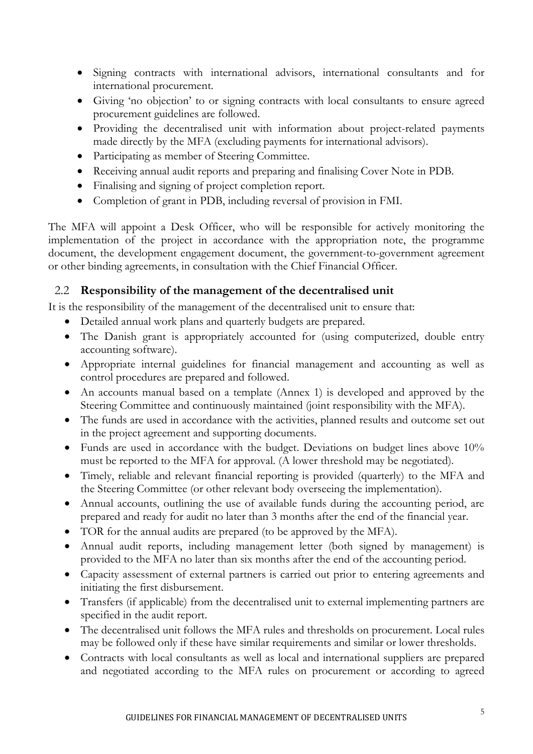- Signing contracts with international advisors, international consultants and for international procurement.
- Giving 'no objection' to or signing contracts with local consultants to ensure agreed procurement guidelines are followed.
- Providing the decentralised unit with information about project-related payments made directly by the MFA (excluding payments for international advisors).
- Participating as member of Steering Committee.
- Receiving annual audit reports and preparing and finalising Cover Note in PDB.
- Finalising and signing of project completion report.
- Completion of grant in PDB, including reversal of provision in FMI.

The MFA will appoint a Desk Officer, who will be responsible for actively monitoring the implementation of the project in accordance with the appropriation note, the programme document, the development engagement document, the government-to-government agreement or other binding agreements, in consultation with the Chief Financial Officer.

#### <span id="page-4-0"></span>2.2 **Responsibility of the management of the decentralised unit**

It is the responsibility of the management of the decentralised unit to ensure that:

- Detailed annual work plans and quarterly budgets are prepared.
- The Danish grant is appropriately accounted for (using computerized, double entry accounting software).
- Appropriate internal guidelines for financial management and accounting as well as control procedures are prepared and followed.
- An accounts manual based on a template (Annex 1) is developed and approved by the Steering Committee and continuously maintained (joint responsibility with the MFA).
- The funds are used in accordance with the activities, planned results and outcome set out in the project agreement and supporting documents.
- Funds are used in accordance with the budget. Deviations on budget lines above 10% must be reported to the MFA for approval. (A lower threshold may be negotiated).
- Timely, reliable and relevant financial reporting is provided (quarterly) to the MFA and the Steering Committee (or other relevant body overseeing the implementation).
- Annual accounts, outlining the use of available funds during the accounting period, are prepared and ready for audit no later than 3 months after the end of the financial year.
- TOR for the annual audits are prepared (to be approved by the MFA).
- Annual audit reports, including management letter (both signed by management) is provided to the MFA no later than six months after the end of the accounting period.
- Capacity assessment of external partners is carried out prior to entering agreements and initiating the first disbursement.
- Transfers (if applicable) from the decentralised unit to external implementing partners are specified in the audit report.
- The decentralised unit follows the MFA rules and thresholds on procurement. Local rules may be followed only if these have similar requirements and similar or lower thresholds.
- Contracts with local consultants as well as local and international suppliers are prepared and negotiated according to the MFA rules on procurement or according to agreed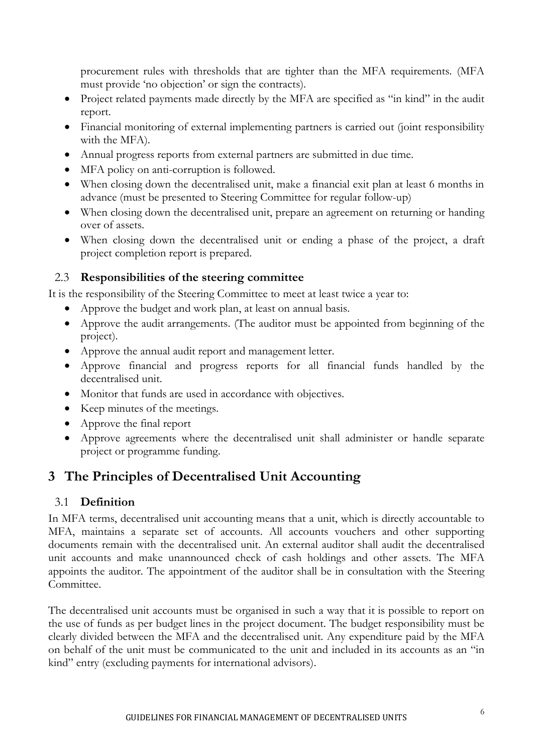procurement rules with thresholds that are tighter than the MFA requirements. (MFA must provide 'no objection' or sign the contracts).

- Project related payments made directly by the MFA are specified as "in kind" in the audit report.
- Financial monitoring of external implementing partners is carried out (joint responsibility with the MFA).
- Annual progress reports from external partners are submitted in due time.
- MFA policy on anti-corruption is followed.
- When closing down the decentralised unit, make a financial exit plan at least 6 months in advance (must be presented to Steering Committee for regular follow-up)
- When closing down the decentralised unit, prepare an agreement on returning or handing over of assets.
- When closing down the decentralised unit or ending a phase of the project, a draft project completion report is prepared.

#### <span id="page-5-0"></span>2.3 **Responsibilities of the steering committee**

It is the responsibility of the Steering Committee to meet at least twice a year to:

- Approve the budget and work plan, at least on annual basis.
- Approve the audit arrangements. (The auditor must be appointed from beginning of the project).
- Approve the annual audit report and management letter.
- Approve financial and progress reports for all financial funds handled by the decentralised unit.
- Monitor that funds are used in accordance with objectives.
- Keep minutes of the meetings.
- Approve the final report
- Approve agreements where the decentralised unit shall administer or handle separate project or programme funding.

## <span id="page-5-1"></span>**3 The Principles of Decentralised Unit Accounting**

#### <span id="page-5-2"></span>3.1 **Definition**

In MFA terms, decentralised unit accounting means that a unit, which is directly accountable to MFA, maintains a separate set of accounts. All accounts vouchers and other supporting documents remain with the decentralised unit. An external auditor shall audit the decentralised unit accounts and make unannounced check of cash holdings and other assets. The MFA appoints the auditor. The appointment of the auditor shall be in consultation with the Steering Committee.

The decentralised unit accounts must be organised in such a way that it is possible to report on the use of funds as per budget lines in the project document. The budget responsibility must be clearly divided between the MFA and the decentralised unit. Any expenditure paid by the MFA on behalf of the unit must be communicated to the unit and included in its accounts as an "in kind" entry (excluding payments for international advisors).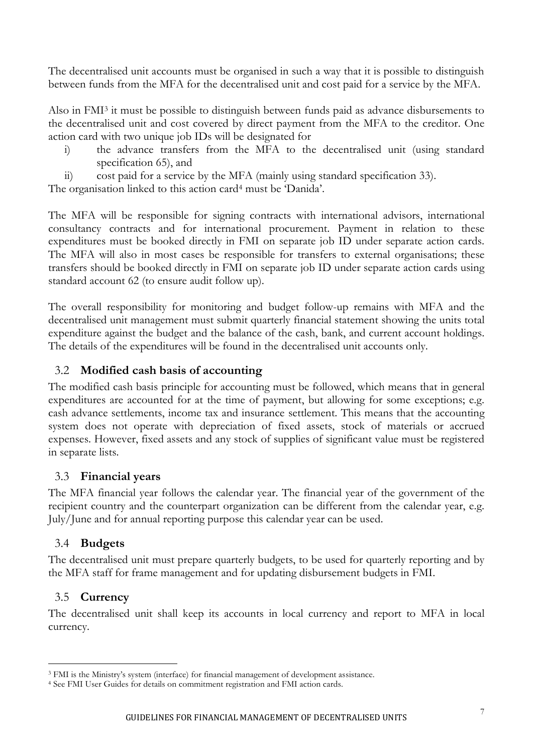The decentralised unit accounts must be organised in such a way that it is possible to distinguish between funds from the MFA for the decentralised unit and cost paid for a service by the MFA.

Also in FMI<sup>3</sup> it must be possible to distinguish between funds paid as advance disbursements to the decentralised unit and cost covered by direct payment from the MFA to the creditor. One action card with two unique job IDs will be designated for

- i) the advance transfers from the MFA to the decentralised unit (using standard specification 65), and
- ii) cost paid for a service by the MFA (mainly using standard specification 33).

The organisation linked to this action card<sup>4</sup> must be 'Danida'.

The MFA will be responsible for signing contracts with international advisors, international consultancy contracts and for international procurement. Payment in relation to these expenditures must be booked directly in FMI on separate job ID under separate action cards. The MFA will also in most cases be responsible for transfers to external organisations; these transfers should be booked directly in FMI on separate job ID under separate action cards using standard account 62 (to ensure audit follow up).

The overall responsibility for monitoring and budget follow-up remains with MFA and the decentralised unit management must submit quarterly financial statement showing the units total expenditure against the budget and the balance of the cash, bank, and current account holdings. The details of the expenditures will be found in the decentralised unit accounts only.

#### <span id="page-6-0"></span>3.2 **Modified cash basis of accounting**

The modified cash basis principle for accounting must be followed, which means that in general expenditures are accounted for at the time of payment, but allowing for some exceptions; e.g. cash advance settlements, income tax and insurance settlement. This means that the accounting system does not operate with depreciation of fixed assets, stock of materials or accrued expenses. However, fixed assets and any stock of supplies of significant value must be registered in separate lists.

#### <span id="page-6-1"></span>3.3 **Financial years**

The MFA financial year follows the calendar year. The financial year of the government of the recipient country and the counterpart organization can be different from the calendar year, e.g. July/June and for annual reporting purpose this calendar year can be used.

#### <span id="page-6-2"></span>3.4 **Budgets**

The decentralised unit must prepare quarterly budgets, to be used for quarterly reporting and by the MFA staff for frame management and for updating disbursement budgets in FMI.

#### <span id="page-6-3"></span>3.5 **Currency**

-

The decentralised unit shall keep its accounts in local currency and report to MFA in local currency.

<sup>3</sup> FMI is the Ministry's system (interface) for financial management of development assistance.

<sup>4</sup> See FMI User Guides for details on commitment registration and FMI action cards.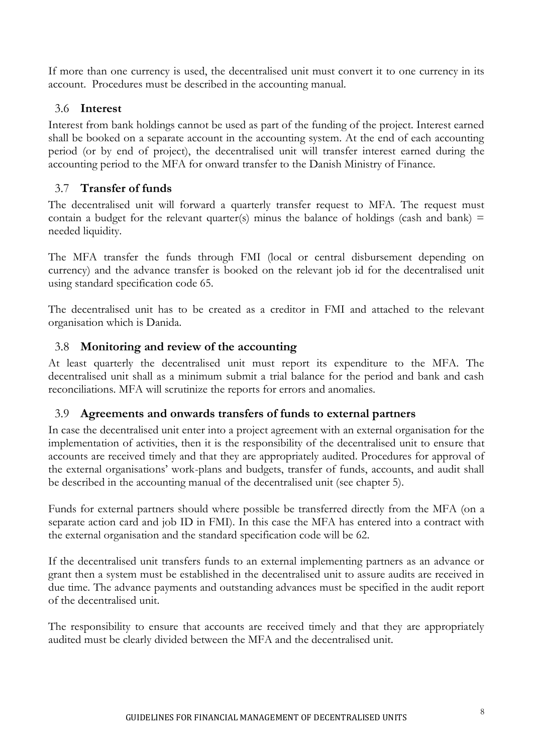If more than one currency is used, the decentralised unit must convert it to one currency in its account. Procedures must be described in the accounting manual.

#### <span id="page-7-0"></span>3.6 **Interest**

Interest from bank holdings cannot be used as part of the funding of the project. Interest earned shall be booked on a separate account in the accounting system. At the end of each accounting period (or by end of project), the decentralised unit will transfer interest earned during the accounting period to the MFA for onward transfer to the Danish Ministry of Finance.

#### <span id="page-7-1"></span>3.7 **Transfer of funds**

The decentralised unit will forward a quarterly transfer request to MFA. The request must contain a budget for the relevant quarter(s) minus the balance of holdings (cash and bank)  $=$ needed liquidity.

The MFA transfer the funds through FMI (local or central disbursement depending on currency) and the advance transfer is booked on the relevant job id for the decentralised unit using standard specification code 65.

The decentralised unit has to be created as a creditor in FMI and attached to the relevant organisation which is Danida.

#### <span id="page-7-2"></span>3.8 **Monitoring and review of the accounting**

At least quarterly the decentralised unit must report its expenditure to the MFA. The decentralised unit shall as a minimum submit a trial balance for the period and bank and cash reconciliations. MFA will scrutinize the reports for errors and anomalies.

#### <span id="page-7-3"></span>3.9 **Agreements and onwards transfers of funds to external partners**

In case the decentralised unit enter into a project agreement with an external organisation for the implementation of activities, then it is the responsibility of the decentralised unit to ensure that accounts are received timely and that they are appropriately audited. Procedures for approval of the external organisations' work-plans and budgets, transfer of funds, accounts, and audit shall be described in the accounting manual of the decentralised unit (see chapter 5).

Funds for external partners should where possible be transferred directly from the MFA (on a separate action card and job ID in FMI). In this case the MFA has entered into a contract with the external organisation and the standard specification code will be 62.

If the decentralised unit transfers funds to an external implementing partners as an advance or grant then a system must be established in the decentralised unit to assure audits are received in due time. The advance payments and outstanding advances must be specified in the audit report of the decentralised unit.

The responsibility to ensure that accounts are received timely and that they are appropriately audited must be clearly divided between the MFA and the decentralised unit.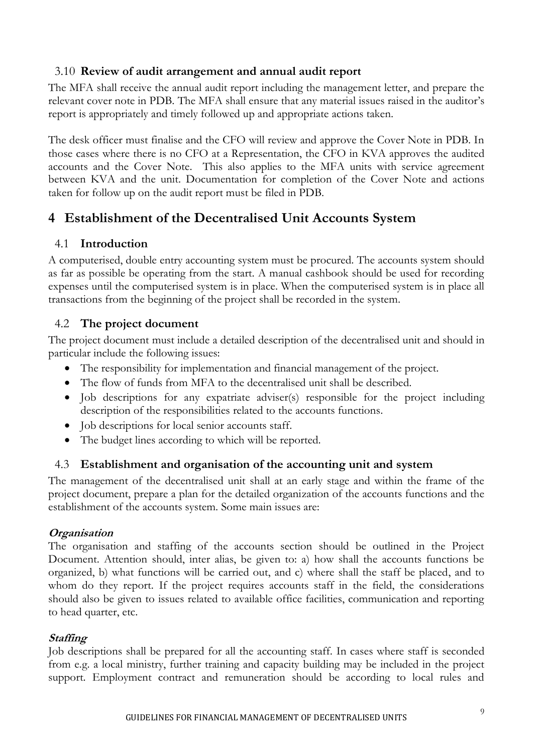#### <span id="page-8-0"></span>3.10 **Review of audit arrangement and annual audit report**

The MFA shall receive the annual audit report including the management letter, and prepare the relevant cover note in PDB. The MFA shall ensure that any material issues raised in the auditor's report is appropriately and timely followed up and appropriate actions taken.

The desk officer must finalise and the CFO will review and approve the Cover Note in PDB. In those cases where there is no CFO at a Representation, the CFO in KVA approves the audited accounts and the Cover Note. This also applies to the MFA units with service agreement between KVA and the unit. Documentation for completion of the Cover Note and actions taken for follow up on the audit report must be filed in PDB.

## <span id="page-8-1"></span>**4 Establishment of the Decentralised Unit Accounts System**

#### <span id="page-8-2"></span>4.1 **Introduction**

A computerised, double entry accounting system must be procured. The accounts system should as far as possible be operating from the start. A manual cashbook should be used for recording expenses until the computerised system is in place. When the computerised system is in place all transactions from the beginning of the project shall be recorded in the system.

#### <span id="page-8-3"></span>4.2 **The project document**

The project document must include a detailed description of the decentralised unit and should in particular include the following issues:

- The responsibility for implementation and financial management of the project.
- The flow of funds from MFA to the decentralised unit shall be described.
- Job descriptions for any expatriate adviser(s) responsible for the project including description of the responsibilities related to the accounts functions.
- Job descriptions for local senior accounts staff.
- The budget lines according to which will be reported.

#### <span id="page-8-4"></span>4.3 **Establishment and organisation of the accounting unit and system**

The management of the decentralised unit shall at an early stage and within the frame of the project document, prepare a plan for the detailed organization of the accounts functions and the establishment of the accounts system. Some main issues are:

#### **Organisation**

The organisation and staffing of the accounts section should be outlined in the Project Document. Attention should, inter alias, be given to: a) how shall the accounts functions be organized, b) what functions will be carried out, and c) where shall the staff be placed, and to whom do they report. If the project requires accounts staff in the field, the considerations should also be given to issues related to available office facilities, communication and reporting to head quarter, etc.

#### **Staffing**

Job descriptions shall be prepared for all the accounting staff. In cases where staff is seconded from e.g. a local ministry, further training and capacity building may be included in the project support. Employment contract and remuneration should be according to local rules and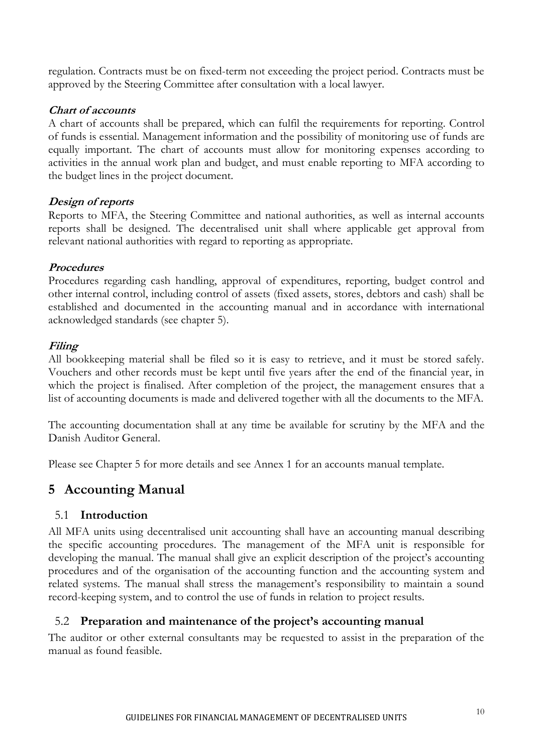regulation. Contracts must be on fixed-term not exceeding the project period. Contracts must be approved by the Steering Committee after consultation with a local lawyer.

#### **Chart of accounts**

A chart of accounts shall be prepared, which can fulfil the requirements for reporting. Control of funds is essential. Management information and the possibility of monitoring use of funds are equally important. The chart of accounts must allow for monitoring expenses according to activities in the annual work plan and budget, and must enable reporting to MFA according to the budget lines in the project document.

#### **Design of reports**

Reports to MFA, the Steering Committee and national authorities, as well as internal accounts reports shall be designed. The decentralised unit shall where applicable get approval from relevant national authorities with regard to reporting as appropriate.

#### **Procedures**

Procedures regarding cash handling, approval of expenditures, reporting, budget control and other internal control, including control of assets (fixed assets, stores, debtors and cash) shall be established and documented in the accounting manual and in accordance with international acknowledged standards (see chapter 5).

#### **Filing**

All bookkeeping material shall be filed so it is easy to retrieve, and it must be stored safely. Vouchers and other records must be kept until five years after the end of the financial year, in which the project is finalised. After completion of the project, the management ensures that a list of accounting documents is made and delivered together with all the documents to the MFA.

The accounting documentation shall at any time be available for scrutiny by the MFA and the Danish Auditor General.

Please see Chapter 5 for more details and see Annex 1 for an accounts manual template.

## <span id="page-9-0"></span>**5 Accounting Manual**

#### <span id="page-9-1"></span>5.1 **Introduction**

All MFA units using decentralised unit accounting shall have an accounting manual describing the specific accounting procedures. The management of the MFA unit is responsible for developing the manual. The manual shall give an explicit description of the project's accounting procedures and of the organisation of the accounting function and the accounting system and related systems. The manual shall stress the management's responsibility to maintain a sound record-keeping system, and to control the use of funds in relation to project results.

#### <span id="page-9-2"></span>5.2 **Preparation and maintenance of the project's accounting manual**

The auditor or other external consultants may be requested to assist in the preparation of the manual as found feasible.